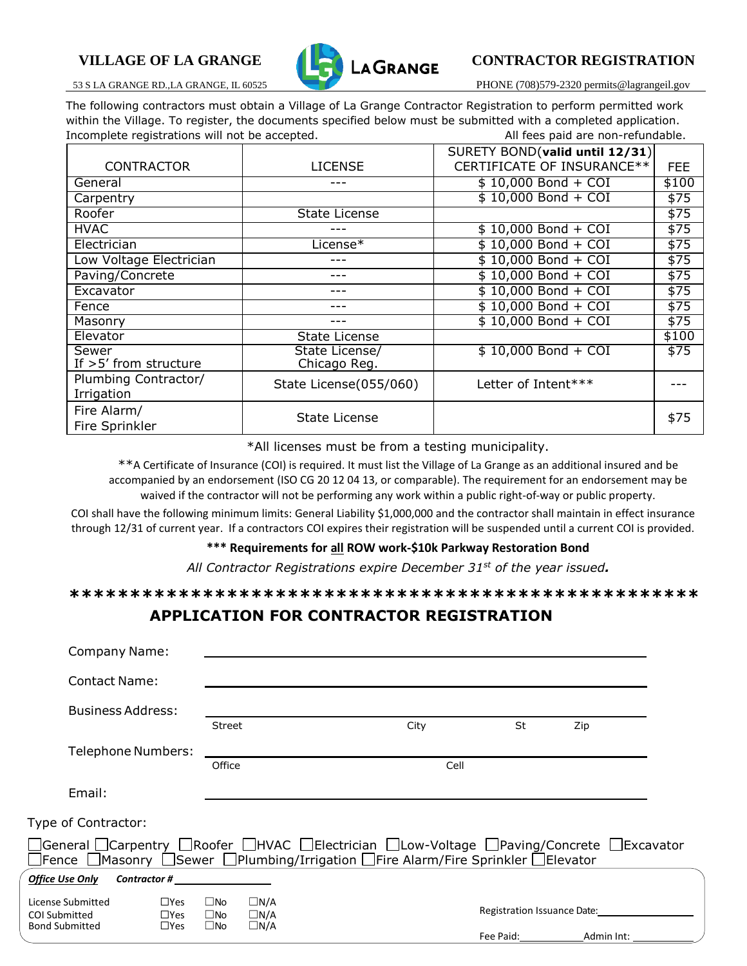

# VILLAGE OF LA GRANGE **CONTRACTOR REGISTRATION**

53 S LA GRANGE RD.,LA GRANGE, IL 60525 PHONE (708)579-2320 permits@lagrangeil.gov

The following contractors must obtain a Village of La Grange Contractor Registration to perform permitted work within the Village. To register, the documents specified below must be submitted with a completed application. Incomplete registrations will not be accepted. All fees paid are non-refundable.

|                         |                        | SURETY BOND(valid until 12/31) |            |
|-------------------------|------------------------|--------------------------------|------------|
| <b>CONTRACTOR</b>       | <b>LICENSE</b>         | CERTIFICATE OF INSURANCE**     | <b>FEE</b> |
| General                 |                        | $$10,000$ Bond + COI           | \$100      |
| Carpentry               |                        | $$10,000$ Bond + COI           | \$75       |
| Roofer                  | <b>State License</b>   |                                | \$75       |
| <b>HVAC</b>             |                        | $$10,000$ Bond + COI           | \$75       |
| Electrician             | License*               | $$10,000$ Bond + COI           | \$75       |
| Low Voltage Electrician |                        | \$10,000 Bond + COI            | \$75       |
| Paving/Concrete         |                        | \$10,000 Bond + COI            | \$75       |
| Excavator               |                        | $$10,000$ Bond + COI           | \$75       |
| Fence                   |                        | $$10,000$ Bond + COI           | $\sqrt{5}$ |
| Masonry                 |                        | $$10,000$ Bond + COI           | \$75       |
| Elevator                | <b>State License</b>   |                                | \$100      |
| Sewer                   | State License/         | $$10,000$ Bond + COI           | \$75       |
| If $>5'$ from structure | Chicago Reg.           |                                |            |
| Plumbing Contractor/    | State License(055/060) | Letter of Intent***            |            |
| Irrigation              |                        |                                |            |
| Fire Alarm/             |                        |                                |            |
| Fire Sprinkler          | <b>State License</b>   |                                | \$75       |

\*All licenses must be from a testing municipality.

\*\*A Certificate of Insurance (COI) is required. It must list the Village of La Grange as an additional insured and be accompanied by an endorsement (ISO CG 20 12 04 13, or comparable). The requirement for an endorsement may be waived if the contractor will not be performing any work within a public right-of-way or public property.

COI shall have the following minimum limits: General Liability \$1,000,000 and the contractor shall maintain in effect insurance through 12/31 of current year. If a contractors COI expires their registration will be suspended until a current COI is provided.

#### **\*\*\* Requirements for all ROW work-\$10k Parkway Restoration Bond**

*All Contractor Registrations expire December 31st of the year issued.*

**\*\*\*\*\*\*\*\*\*\*\*\*\*\*\*\*\*\*\*\*\*\*\*\*\*\*\*\*\*\*\*\*\*\*\*\*\*\*\*\*\*\*\*\*\*\*\*\*\*\*\*\*** 

## **APPLICATION FOR CONTRACTOR REGISTRATION**

| <b>Company Name:</b>                                                                                                                                                                                            |                                           |                                              |                                        |  |      |                                                                                                                |                             |  |
|-----------------------------------------------------------------------------------------------------------------------------------------------------------------------------------------------------------------|-------------------------------------------|----------------------------------------------|----------------------------------------|--|------|----------------------------------------------------------------------------------------------------------------|-----------------------------|--|
| <b>Contact Name:</b>                                                                                                                                                                                            |                                           |                                              |                                        |  |      |                                                                                                                |                             |  |
| <b>Business Address:</b>                                                                                                                                                                                        |                                           |                                              |                                        |  |      |                                                                                                                |                             |  |
|                                                                                                                                                                                                                 |                                           | <b>Street</b>                                |                                        |  | City | St                                                                                                             | Zip                         |  |
| <b>Telephone Numbers:</b>                                                                                                                                                                                       |                                           |                                              |                                        |  |      |                                                                                                                |                             |  |
|                                                                                                                                                                                                                 |                                           |                                              | Office<br>Cell                         |  |      |                                                                                                                |                             |  |
| Email:                                                                                                                                                                                                          |                                           |                                              |                                        |  |      |                                                                                                                |                             |  |
| Type of Contractor:                                                                                                                                                                                             |                                           |                                              |                                        |  |      |                                                                                                                |                             |  |
| □General □Carpentry □Roofer □HVAC □Electrician □Low-Voltage □Paving/Concrete □Excavator<br>$\Box$ Fence $\Box$ Masonry $\Box$ Sewer $\Box$ Plumbing/Irrigation $\Box$ Fire Alarm/Fire Sprinkler $\Box$ Elevator |                                           |                                              |                                        |  |      |                                                                                                                |                             |  |
| <b>Office Use Only</b>                                                                                                                                                                                          | $\mathcal L$ Contractor # $\qquad \qquad$ |                                              |                                        |  |      |                                                                                                                |                             |  |
| $\square$ Yes<br>License Submitted<br><b>COI Submitted</b><br>$\square$ Yes<br><b>Bond Submitted</b>                                                                                                            |                                           | $\square$ No<br>$\square$ No<br>$\square$ No | $\Box N/A$<br>$\Box N/A$<br>$\Box N/A$ |  |      |                                                                                                                | Registration Issuance Date: |  |
|                                                                                                                                                                                                                 | $\square$ Yes                             |                                              |                                        |  |      | Fee Paid: The Paid State State State State State State State State State State State State State State State S | Admin Int:                  |  |